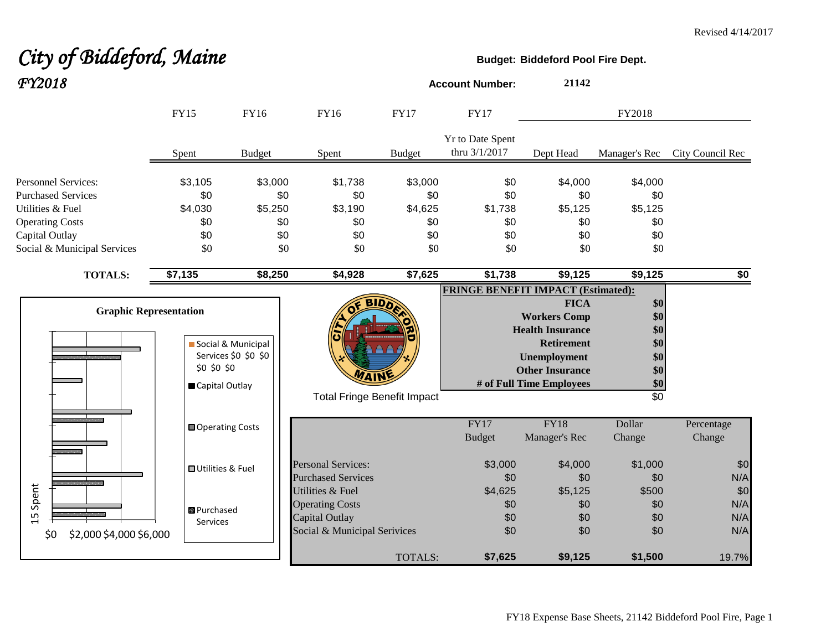# City of Biddeford, Maine **Budget:** Biddeford Pool Fire Dept. *FY2018* **Account Number: <sup>21142</sup>**

|                                                                                                                                                        | <b>FY15</b>                                    | <b>FY16</b>                                    | FY16                                                                                         | <b>FY17</b>                                    | <b>FY17</b>                                |                                                                                                                                                          | FY2018                                                           |                          |
|--------------------------------------------------------------------------------------------------------------------------------------------------------|------------------------------------------------|------------------------------------------------|----------------------------------------------------------------------------------------------|------------------------------------------------|--------------------------------------------|----------------------------------------------------------------------------------------------------------------------------------------------------------|------------------------------------------------------------------|--------------------------|
|                                                                                                                                                        | Spent                                          | <b>Budget</b>                                  | Spent                                                                                        | <b>Budget</b>                                  | Yr to Date Spent<br>thru 3/1/2017          | Dept Head                                                                                                                                                | Manager's Rec                                                    | City Council Rec         |
| <b>Personnel Services:</b><br><b>Purchased Services</b><br>Utilities & Fuel<br><b>Operating Costs</b><br>Capital Outlay<br>Social & Municipal Services | \$3,105<br>\$0<br>\$4,030<br>\$0<br>\$0<br>\$0 | \$3,000<br>\$0<br>\$5,250<br>\$0<br>\$0<br>\$0 | \$1,738<br>\$0<br>\$3,190<br>\$0<br>\$0<br>\$0                                               | \$3,000<br>\$0<br>\$4,625<br>\$0<br>\$0<br>\$0 | \$0<br>\$0<br>\$1,738<br>\$0<br>\$0<br>\$0 | \$4,000<br>\$0<br>\$5,125<br>\$0<br>\$0<br>\$0                                                                                                           | \$4,000<br>\$0<br>\$5,125<br>\$0<br>\$0<br>\$0                   |                          |
| <b>TOTALS:</b>                                                                                                                                         | \$7,135                                        | \$8,250                                        | \$4,928                                                                                      | \$7,625                                        | \$1,738                                    | \$9,125                                                                                                                                                  | \$9,125                                                          | \$0                      |
| <b>Graphic Representation</b>                                                                                                                          | \$0 \$0 \$0<br>Capital Outlay                  | Social & Municipal<br>Services \$0 \$0 \$0     | BID<br><b>Total Fringe Benefit Impact</b>                                                    |                                                | <b>FRINGE BENEFIT IMPACT (Estimated):</b>  | <b>FICA</b><br><b>Workers Comp</b><br><b>Health Insurance</b><br><b>Retirement</b><br>Unemployment<br><b>Other Insurance</b><br># of Full Time Employees | \$0<br>\$0<br>\$0<br>\$0<br>\$0<br>\$0<br>\$0<br>$\overline{30}$ |                          |
|                                                                                                                                                        | Operating Costs                                |                                                |                                                                                              |                                                | <b>FY17</b><br><b>Budget</b>               | <b>FY18</b><br>Manager's Rec                                                                                                                             | Dollar<br>Change                                                 | Percentage<br>Change     |
|                                                                                                                                                        | <b>□</b> Utilities & Fuel                      |                                                | <b>Personal Services:</b><br><b>Purchased Services</b>                                       |                                                | \$3,000<br>\$0                             | \$4,000<br>\$0                                                                                                                                           | \$1,000<br>\$0                                                   | \$0<br>N/A               |
| Spent<br>15<br>\$2,000 \$4,000 \$6,000<br>\$0                                                                                                          | <b>B</b> Purchased<br>Services                 |                                                | Utilities & Fuel<br><b>Operating Costs</b><br>Capital Outlay<br>Social & Municipal Serivices |                                                | \$4,625<br>\$0<br>\$0<br>\$0               | \$5,125<br>\$0<br>\$0<br>\$0                                                                                                                             | \$500<br>\$0<br>\$0<br>\$0                                       | \$0<br>N/A<br>N/A<br>N/A |
|                                                                                                                                                        |                                                |                                                |                                                                                              | TOTALS:                                        | \$7,625                                    | \$9,125                                                                                                                                                  | \$1,500                                                          | 19.7%                    |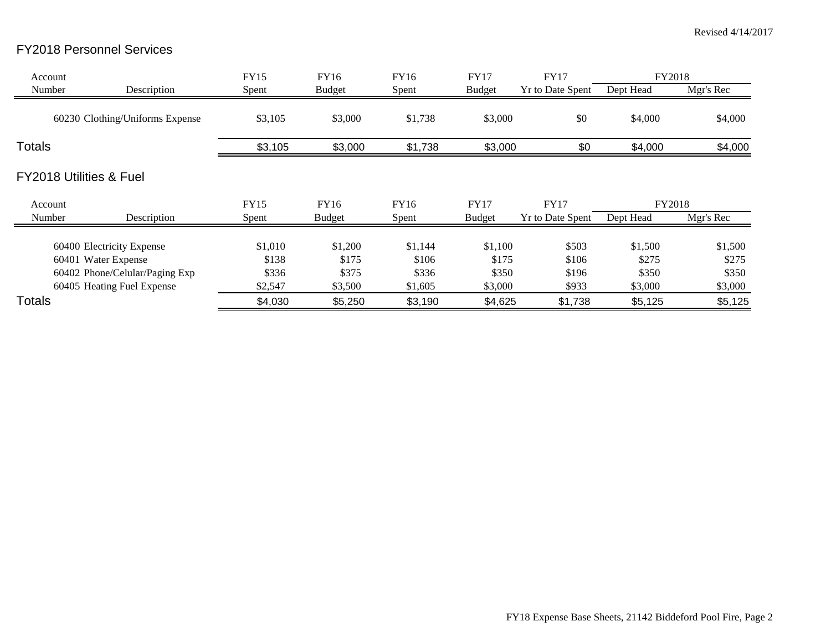## FY2018 Personnel Services

| Account       |                                    | <b>FY15</b> | FY16          | FY16        | <b>FY17</b>   | <b>FY17</b>             | FY2018    |           |
|---------------|------------------------------------|-------------|---------------|-------------|---------------|-------------------------|-----------|-----------|
| Number        | Description                        | Spent       | <b>Budget</b> | Spent       | <b>Budget</b> | <b>Yr to Date Spent</b> | Dept Head | Mgr's Rec |
|               | 60230 Clothing/Uniforms Expense    | \$3,105     | \$3,000       | \$1,738     | \$3,000       | \$0                     | \$4,000   | \$4,000   |
| <b>Totals</b> |                                    | \$3,105     | \$3,000       | \$1,738     | \$3,000       | \$0                     | \$4,000   | \$4,000   |
|               | <b>FY2018 Utilities &amp; Fuel</b> |             |               |             |               |                         |           |           |
| Account       |                                    | <b>FY15</b> | FY16          | <b>FY16</b> | <b>FY17</b>   | <b>FY17</b>             | FY2018    |           |
| Number        | Description                        | Spent       | <b>Budget</b> | Spent       | <b>Budget</b> | <b>Yr to Date Spent</b> | Dept Head | Mgr's Rec |
|               | 60400 Electricity Expense          | \$1,010     | \$1,200       | \$1,144     | \$1,100       | \$503                   | \$1,500   | \$1,500   |
|               | 60401 Water Expense                | \$138       | \$175         | \$106       | \$175         | \$106                   | \$275     | \$275     |
|               | 60402 Phone/Celular/Paging Exp     | \$336       | \$375         | \$336       | \$350         | \$196                   | \$350     | \$350     |
|               | 60405 Heating Fuel Expense         | \$2,547     | \$3,500       | \$1,605     | \$3,000       | \$933                   | \$3,000   | \$3,000   |
| <b>Totals</b> |                                    | \$4,030     | \$5,250       | \$3,190     | \$4,625       | \$1,738                 | \$5,125   | \$5,125   |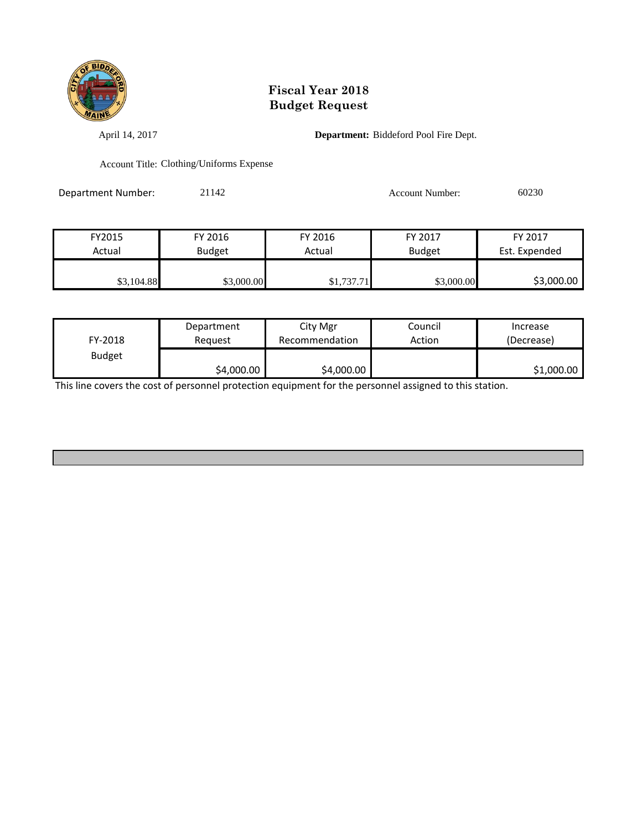

April 14, 2017 **Department:** Biddeford Pool Fire Dept.

Account Title: Clothing/Uniforms Expense

Department Number: 21142 Account Number: 60230

| FY2015     | FY 2016       | FY 2016    | FY 2017       | FY 2017       |
|------------|---------------|------------|---------------|---------------|
| Actual     | <b>Budget</b> | Actual     | <b>Budget</b> | Est. Expended |
|            |               |            |               |               |
| \$3,104.88 | \$3,000.00    | \$1,737.71 | \$3,000.00    | \$3,000.00    |

| FY-2018       | Department | City Mgr       | Council | Increase   |
|---------------|------------|----------------|---------|------------|
|               | Reauest    | Recommendation | Action  | (Decrease) |
| <b>Budget</b> | \$4,000.00 | \$4,000.00     |         | \$1,000.00 |

This line covers the cost of personnel protection equipment for the personnel assigned to this station.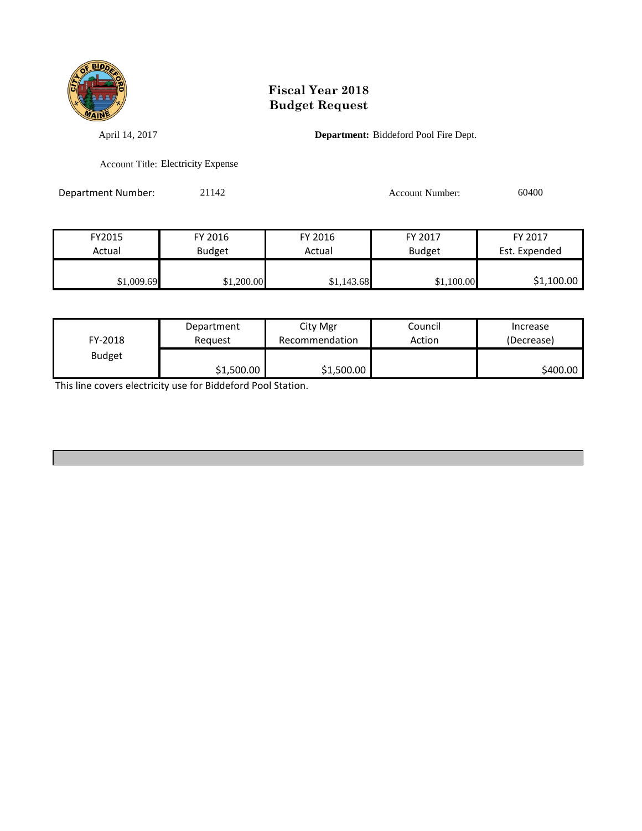

April 14, 2017 **Department:** Biddeford Pool Fire Dept.

Account Title: Electricity Expense

Department Number: 21142 2011 2020 2020 Account Number: 60400

| FY2015     | FY 2016       | FY 2016    | FY 2017       | FY 2017       |
|------------|---------------|------------|---------------|---------------|
| Actual     | <b>Budget</b> | Actual     | <b>Budget</b> | Est. Expended |
|            |               |            |               |               |
| \$1,009.69 | \$1,200.00    | \$1,143.68 | \$1,100.00    | \$1,100.00    |

| FY-2018       | Department | City Mgr       | Council | Increase   |
|---------------|------------|----------------|---------|------------|
|               | Reguest    | Recommendation | Action  | (Decrease) |
| <b>Budget</b> | \$1,500.00 | \$1,500.00     |         | \$400.00   |

This line covers electricity use for Biddeford Pool Station.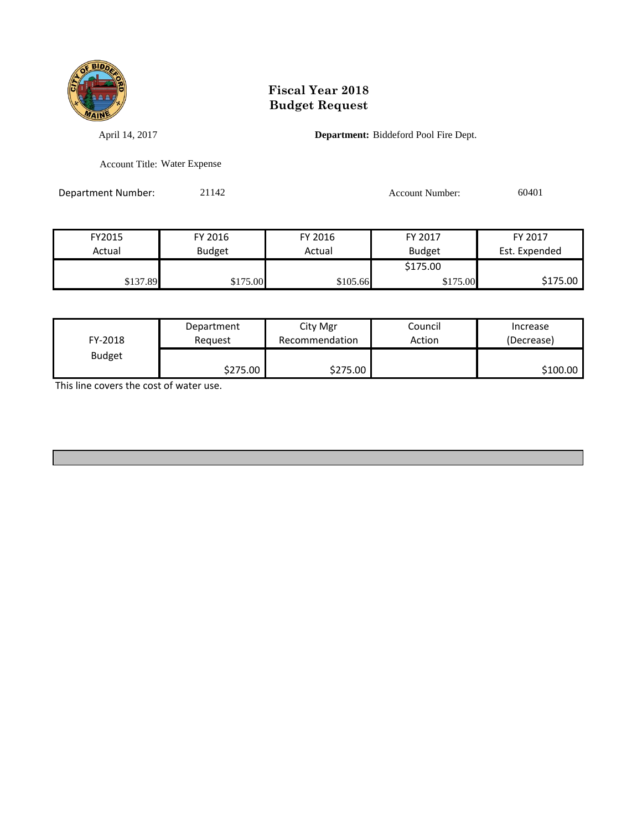

April 14, 2017 **Department:** Biddeford Pool Fire Dept.

Account Title: Water Expense

Department Number: 21142 Account Number: 60401

| FY2015   | FY 2016       | FY 2016  | FY 2017       | FY 2017       |
|----------|---------------|----------|---------------|---------------|
| Actual   | <b>Budget</b> | Actual   | <b>Budget</b> | Est. Expended |
|          |               |          | \$175.00      |               |
| \$137.89 | \$175.00      | \$105.66 | \$175.00      | \$175.00      |

| FY-2018       | Department | City Mgr       | Council | Increase   |
|---------------|------------|----------------|---------|------------|
|               | Reguest    | Recommendation | Action  | (Decrease) |
| <b>Budget</b> | \$275.00   | \$275.00       |         | \$100.00   |

This line covers the cost of water use.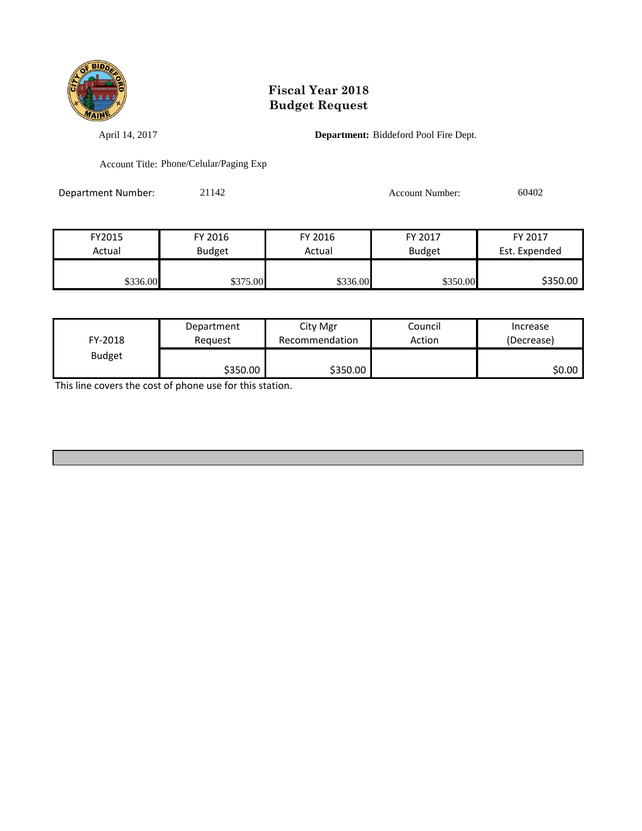

April 14, 2017 **Department:** Biddeford Pool Fire Dept.

Account Title: Phone/Celular/Paging Exp

Department Number: 21142 Account Number: 60402

| FY2015   | FY 2016       | FY 2016  | FY 2017       | FY 2017       |
|----------|---------------|----------|---------------|---------------|
| Actual   | <b>Budget</b> | Actual   | <b>Budget</b> | Est. Expended |
|          |               |          |               |               |
| \$336.00 | \$375.00      | \$336.00 | \$350.00      | \$350.00      |

| FY-2018       | Department | City Mgr       | Council | Increase   |
|---------------|------------|----------------|---------|------------|
|               | Reauest    | Recommendation | Action  | (Decrease) |
| <b>Budget</b> | \$350.00   | \$350.00       |         | \$0.00     |

This line covers the cost of phone use for this station.